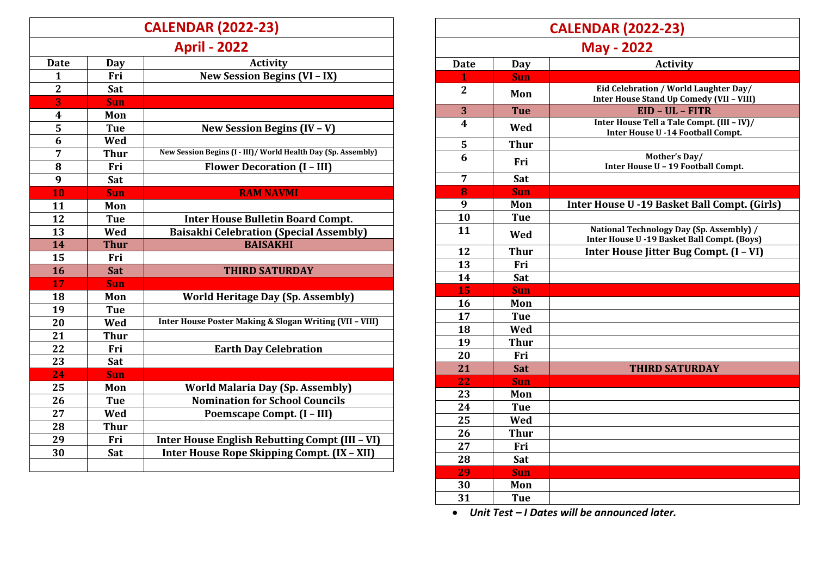|                | <b>CALENDAR (2022-23)</b> |                                                               |  |
|----------------|---------------------------|---------------------------------------------------------------|--|
|                | <b>April - 2022</b>       |                                                               |  |
| Date           | Day                       | <b>Activity</b>                                               |  |
| 1              | Fri                       | <b>New Session Begins (VI - IX)</b>                           |  |
| $\overline{2}$ | Sat                       |                                                               |  |
| 3              | Sun                       |                                                               |  |
| 4              | Mon                       |                                                               |  |
| 5              | <b>Tue</b>                | New Session Begins (IV - V)                                   |  |
| 6              | Wed                       |                                                               |  |
| 7              | <b>Thur</b>               | New Session Begins (I - III)/ World Health Day (Sp. Assembly) |  |
| 8              | Fri                       | <b>Flower Decoration (I - III)</b>                            |  |
| 9              | Sat                       |                                                               |  |
| 10             | <b>Sun</b>                | <b>RAM NAVMI</b>                                              |  |
| 11             | Mon                       |                                                               |  |
| 12             | <b>Tue</b>                | <b>Inter House Bulletin Board Compt.</b>                      |  |
| 13             | Wed                       | <b>Baisakhi Celebration (Special Assembly)</b>                |  |
| 14             | <b>Thur</b>               | <b>BAISAKHI</b>                                               |  |
| 15             | Fri                       |                                                               |  |
| 16             | Sat                       | <b>THIRD SATURDAY</b>                                         |  |
| 17             | <b>Sun</b>                |                                                               |  |
| 18             | Mon                       | <b>World Heritage Day (Sp. Assembly)</b>                      |  |
| 19             | <b>Tue</b>                |                                                               |  |
| 20             | Wed                       | Inter House Poster Making & Slogan Writing (VII - VIII)       |  |
| 21             | <b>Thur</b>               |                                                               |  |
| 22             | Fri                       | <b>Earth Day Celebration</b>                                  |  |
| 23             | Sat                       |                                                               |  |
| 24             | <b>Sun</b>                |                                                               |  |
| 25             | Mon                       | <b>World Malaria Day (Sp. Assembly)</b>                       |  |
| 26             | <b>Tue</b>                | <b>Nomination for School Councils</b>                         |  |
| 27             | Wed                       | Poemscape Compt. (I - III)                                    |  |
| 28             | <b>Thur</b>               |                                                               |  |
| 29             | Fri                       | Inter House English Rebutting Compt (III - VI)                |  |
| 30             | Sat                       | Inter House Rope Skipping Compt. (IX - XII)                   |  |
|                |                           |                                                               |  |

| <b>CALENDAR (2022-23)</b> |             |                                                                                         |  |
|---------------------------|-------------|-----------------------------------------------------------------------------------------|--|
| <b>May - 2022</b>         |             |                                                                                         |  |
| <b>Date</b>               | Day         | <b>Activity</b>                                                                         |  |
|                           | <b>Sun</b>  |                                                                                         |  |
| $\overline{2}$            | Mon         | Eid Celebration / World Laughter Day/<br>Inter House Stand Up Comedy (VII - VIII)       |  |
| 3                         | <b>Tue</b>  | EID - UL - FITR                                                                         |  |
| $\overline{\mathbf{4}}$   | Wed         | Inter House Tell a Tale Compt. (III - IV)/<br>Inter House U -14 Football Compt.         |  |
| 5                         | <b>Thur</b> |                                                                                         |  |
| 6                         | Fri         | Mother's Day/<br>Inter House U - 19 Football Compt.                                     |  |
| 7                         | Sat         |                                                                                         |  |
| 8                         | <b>Sun</b>  |                                                                                         |  |
| 9                         | Mon         | Inter House U -19 Basket Ball Compt. (Girls)                                            |  |
| 10                        | <b>Tue</b>  |                                                                                         |  |
| 11                        | Wed         | National Technology Day (Sp. Assembly) /<br>Inter House U -19 Basket Ball Compt. (Boys) |  |
| 12                        | <b>Thur</b> | Inter House Jitter Bug Compt. (I - VI)                                                  |  |
| 13                        | Fri         |                                                                                         |  |
| 14                        | Sat         |                                                                                         |  |
| 15                        | <b>Sun</b>  |                                                                                         |  |
| 16                        | Mon         |                                                                                         |  |
| 17                        | Tue         |                                                                                         |  |
| 18                        | Wed         |                                                                                         |  |
| 19                        | <b>Thur</b> |                                                                                         |  |
| 20                        | Fri         |                                                                                         |  |
| 21                        | Sat         | <b>THIRD SATURDAY</b>                                                                   |  |
| 22                        | <b>Sun</b>  |                                                                                         |  |
| 23                        | Mon         |                                                                                         |  |
| 24                        | <b>Tue</b>  |                                                                                         |  |
| 25                        | Wed         |                                                                                         |  |
| 26                        | <b>Thur</b> |                                                                                         |  |
| 27                        | Fri         |                                                                                         |  |
| 28                        | Sat         |                                                                                         |  |
| 29                        | <b>Sun</b>  |                                                                                         |  |
| 30                        | Mon         |                                                                                         |  |
| 31                        | <b>Tue</b>  |                                                                                         |  |

*Unit Test – I Dates will be announced later.*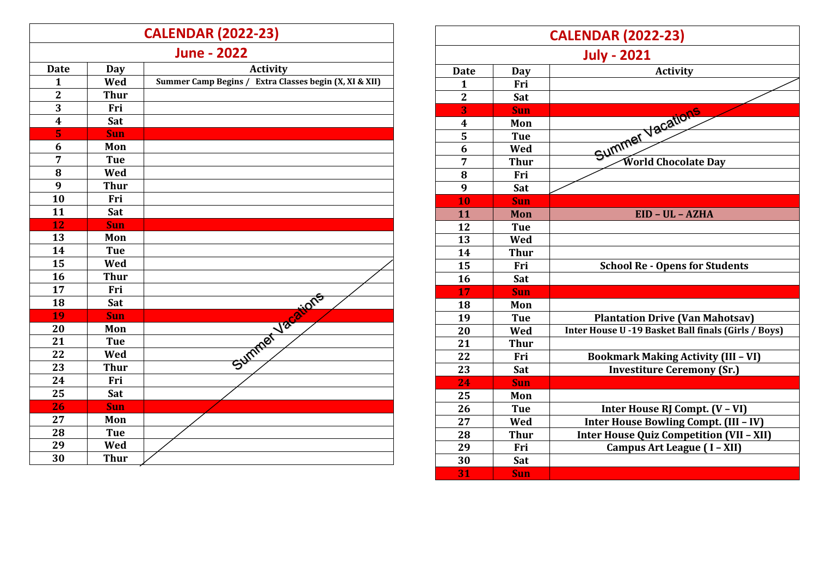|                         |             | <b>CALENDAR (2022-23)</b>                              |
|-------------------------|-------------|--------------------------------------------------------|
|                         |             | <b>June - 2022</b>                                     |
| <b>Date</b>             | <b>Day</b>  | <b>Activity</b>                                        |
| $\mathbf{1}$            | Wed         | Summer Camp Begins / Extra Classes begin (X, XI & XII) |
| $\overline{2}$          | <b>Thur</b> |                                                        |
| 3                       | Fri         |                                                        |
| $\overline{\mathbf{4}}$ | Sat         |                                                        |
| 5                       | <b>Sun</b>  |                                                        |
| 6                       | Mon         |                                                        |
| 7                       | <b>Tue</b>  |                                                        |
| 8                       | Wed         |                                                        |
| 9                       | <b>Thur</b> |                                                        |
| 10                      | Fri         |                                                        |
| 11                      | Sat         |                                                        |
| 12                      | <b>Sun</b>  |                                                        |
| 13                      | Mon         |                                                        |
| 14                      | <b>Tue</b>  |                                                        |
| 15                      | Wed         |                                                        |
| 16                      | <b>Thur</b> |                                                        |
| 17                      | Fri         |                                                        |
| 18                      | Sat         | Summer Vacaions                                        |
| 19                      | <b>Sun</b>  |                                                        |
| 20                      | Mon         |                                                        |
| 21                      | <b>Tue</b>  |                                                        |
| 22                      | Wed         |                                                        |
| 23                      | <b>Thur</b> |                                                        |
| 24                      | Fri         |                                                        |
| 25                      | Sat         |                                                        |
| 26                      | Sun         |                                                        |
| 27                      | Mon         |                                                        |
| 28                      | <b>Tue</b>  |                                                        |
| 29                      | Wed         |                                                        |
| 30                      | <b>Thur</b> |                                                        |

| <b>CALENDAR (2022-23)</b> |             |                                                     |  |
|---------------------------|-------------|-----------------------------------------------------|--|
| <b>July - 2021</b>        |             |                                                     |  |
| <b>Date</b>               | Day         | <b>Activity</b>                                     |  |
| 1                         | Fri         |                                                     |  |
| $\overline{2}$            | Sat         |                                                     |  |
| $\overline{\mathbf{3}}$   | Sun         | Summer Vacations                                    |  |
| 4                         | Mon         |                                                     |  |
| 5                         | <b>Tue</b>  |                                                     |  |
| 6                         | Wed         |                                                     |  |
| 7                         | <b>Thur</b> | World Chocolate Day                                 |  |
| 8                         | Fri         |                                                     |  |
| 9                         | Sat         |                                                     |  |
| 10                        | Sun         |                                                     |  |
| 11                        | Mon         | EID - UL - AZHA                                     |  |
| 12                        | <b>Tue</b>  |                                                     |  |
| 13                        | Wed         |                                                     |  |
| 14                        | <b>Thur</b> |                                                     |  |
| 15                        | Fri         | <b>School Re - Opens for Students</b>               |  |
| 16                        | Sat         |                                                     |  |
| 17                        | Sun         |                                                     |  |
| 18                        | Mon         |                                                     |  |
| 19                        | <b>Tue</b>  | <b>Plantation Drive (Van Mahotsav)</b>              |  |
| 20                        | Wed         | Inter House U -19 Basket Ball finals (Girls / Boys) |  |
| 21                        | <b>Thur</b> |                                                     |  |
| 22                        | Fri         | <b>Bookmark Making Activity (III - VI)</b>          |  |
| 23                        | Sat         | <b>Investiture Ceremony (Sr.)</b>                   |  |
| 24                        | <b>Sun</b>  |                                                     |  |
| 25                        | Mon         |                                                     |  |
| 26                        | <b>Tue</b>  | Inter House RJ Compt. (V - VI)                      |  |
| 27                        | Wed         | Inter House Bowling Compt. (III - IV)               |  |
| 28                        | <b>Thur</b> | <b>Inter House Quiz Competition (VII - XII)</b>     |  |
| 29                        | Fri         | Campus Art League (I - XII)                         |  |
| 30                        | Sat         |                                                     |  |
| 31                        | <b>Sun</b>  |                                                     |  |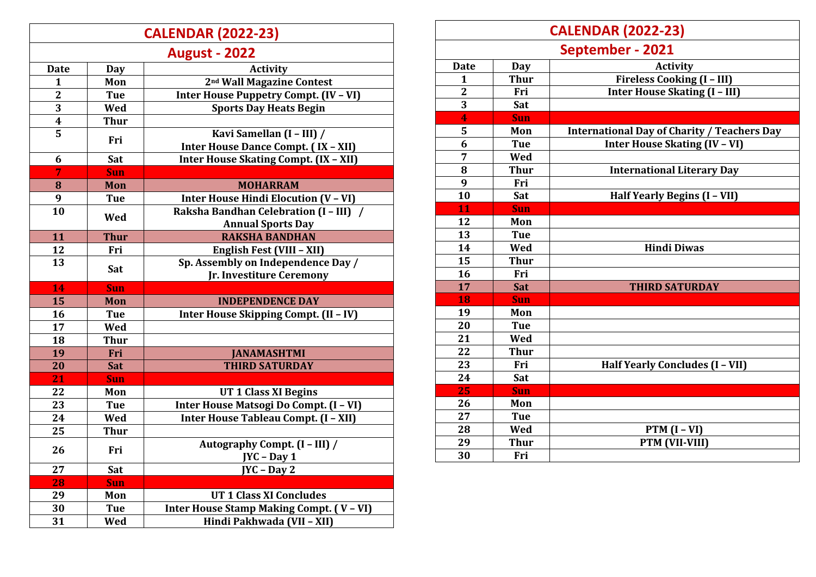## **CALENDAR (2022 -23 )**

| <b>August - 2022</b>    |             |                                              |
|-------------------------|-------------|----------------------------------------------|
| <b>Date</b>             | <b>Day</b>  | <b>Activity</b>                              |
| $\mathbf{1}$            | Mon         | 2 <sup>nd</sup> Wall Magazine Contest        |
| $\overline{2}$          | <b>Tue</b>  | <b>Inter House Puppetry Compt. (IV - VI)</b> |
| 3                       | Wed         | <b>Sports Day Heats Begin</b>                |
| $\overline{\mathbf{4}}$ | <b>Thur</b> |                                              |
| 5                       |             | Kavi Samellan (I - III) /                    |
|                         | Fri         | Inter House Dance Compt. (IX - XII)          |
| 6                       | Sat         | Inter House Skating Compt. (IX - XII)        |
| 7                       | <b>Sun</b>  |                                              |
| 8                       | Mon         | <b>MOHARRAM</b>                              |
| 9                       | <b>Tue</b>  | Inter House Hindi Elocution (V - VI)         |
| 10                      | Wed         | Raksha Bandhan Celebration (I - III) /       |
|                         |             | <b>Annual Sports Day</b>                     |
| 11                      | <b>Thur</b> | <b>RAKSHA BANDHAN</b>                        |
| 12                      | Fri         | English Fest (VIII - XII)                    |
| 13                      | Sat         | Sp. Assembly on Independence Day /           |
|                         |             | Jr. Investiture Ceremony                     |
| 14                      | Sun         |                                              |
| 15                      | Mon         | <b>INDEPENDENCE DAY</b>                      |
| 16                      | <b>Tue</b>  | Inter House Skipping Compt. (II - IV)        |
| 17                      | Wed         |                                              |
| 18                      | <b>Thur</b> |                                              |
| 19                      | Fri         | <b>JANAMASHTMI</b>                           |
| 20                      | Sat         | <b>THIRD SATURDAY</b>                        |
| 21                      | Sun         |                                              |
| 22                      | Mon         | <b>UT 1 Class XI Begins</b>                  |
| 23                      | <b>Tue</b>  | Inter House Matsogi Do Compt. (I - VI)       |
| 24                      | Wed         | Inter House Tableau Compt. (I - XII)         |
| 25                      | <b>Thur</b> |                                              |
| 26                      | Fri         | Autography Compt. (I - III) /                |
|                         |             | JYC - Day 1                                  |
| 27                      | Sat         | $JYC - Day 2$                                |
| 28                      | <b>Sun</b>  |                                              |
| 29                      | Mon         | <b>UT 1 Class XI Concludes</b>               |
| 30                      | <b>Tue</b>  | Inter House Stamp Making Compt. (V - VI)     |
| 31                      | Wed         | Hindi Pakhwada (VII - XII)                   |

|              | <b>CALENDAR (2022-23)</b> |                                                    |  |
|--------------|---------------------------|----------------------------------------------------|--|
|              | September - 2021          |                                                    |  |
| <b>Date</b>  | Day                       | <b>Activity</b>                                    |  |
| 1            | <b>Thur</b>               | Fireless Cooking (I - III)                         |  |
| $\mathbf{2}$ | Fri                       | Inter House Skating (I - III)                      |  |
| 3            | Sat                       |                                                    |  |
| 4            | <b>Sun</b>                |                                                    |  |
| 5            | Mon                       | <b>International Day of Charity / Teachers Day</b> |  |
| 6            | <b>Tue</b>                | <b>Inter House Skating (IV - VI)</b>               |  |
| 7            | Wed                       |                                                    |  |
| 8            | <b>Thur</b>               | <b>International Literary Day</b>                  |  |
| 9            | Fri                       |                                                    |  |
| 10           | Sat                       | Half Yearly Begins (I - VII)                       |  |
| 11           | Sun                       |                                                    |  |
| 12           | Mon                       |                                                    |  |
| 13           | <b>Tue</b>                |                                                    |  |
| 14           | Wed                       | <b>Hindi Diwas</b>                                 |  |
| 15           | <b>Thur</b>               |                                                    |  |
| 16           | Fri                       |                                                    |  |
| 17           | <b>Sat</b>                | <b>THIRD SATURDAY</b>                              |  |
| 18           | <b>Sun</b>                |                                                    |  |
| 19           | Mon                       |                                                    |  |
| 20           | <b>Tue</b>                |                                                    |  |
| 21           | Wed                       |                                                    |  |
| 22           | <b>Thur</b>               |                                                    |  |
| 23           | Fri                       | Half Yearly Concludes (I - VII)                    |  |
| 24           | Sat                       |                                                    |  |
| 25           | <b>Sun</b>                |                                                    |  |
| 26           | Mon                       |                                                    |  |
| 27           | <b>Tue</b>                |                                                    |  |
| 28           | Wed                       | $PTM (I - VI)$                                     |  |
| 29           | <b>Thur</b>               | PTM (VII-VIII)                                     |  |
| 30           | Fri                       |                                                    |  |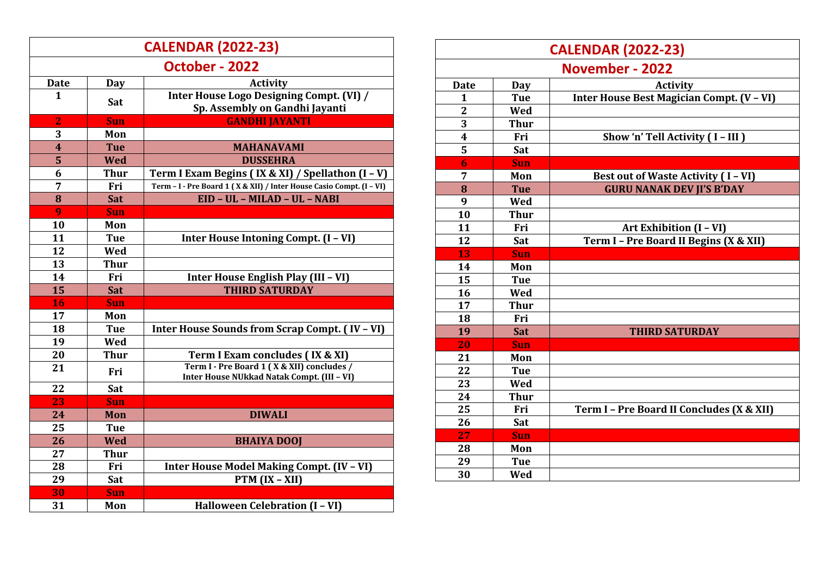|                         | <b>CALENDAR (2022-23)</b> |                                                                                          |  |
|-------------------------|---------------------------|------------------------------------------------------------------------------------------|--|
|                         | October - 2022            |                                                                                          |  |
| Date                    | Day                       | <b>Activity</b>                                                                          |  |
| $\mathbf{1}$            | Sat                       | Inter House Logo Designing Compt. (VI) /<br>Sp. Assembly on Gandhi Jayanti               |  |
| $\overline{2}$          | <b>Sun</b>                | <b>GANDHI JAYANTI</b>                                                                    |  |
| 3                       | Mon                       |                                                                                          |  |
| $\overline{\mathbf{4}}$ | <b>Tue</b>                | <b>MAHANAVAMI</b>                                                                        |  |
| 5                       | <b>Wed</b>                | <b>DUSSEHRA</b>                                                                          |  |
| 6                       | <b>Thur</b>               | Term I Exam Begins (IX & XI) / Spellathon (I - V)                                        |  |
| 7                       | Fri                       | Term - I - Pre Board 1 (X & XII) / Inter House Casio Compt. (I - VI)                     |  |
| 8                       | Sat                       | EID - UL - MILAD - UL - NABI                                                             |  |
| 9                       | Sun                       |                                                                                          |  |
| 10                      | Mon                       |                                                                                          |  |
| 11                      | <b>Tue</b>                | Inter House Intoning Compt. (I - VI)                                                     |  |
| 12                      | Wed                       |                                                                                          |  |
| 13                      | <b>Thur</b>               |                                                                                          |  |
| 14                      | Fri                       | Inter House English Play (III - VI)                                                      |  |
| 15                      | Sat                       | <b>THIRD SATURDAY</b>                                                                    |  |
| 16                      | <b>Sun</b>                |                                                                                          |  |
| 17                      | Mon                       |                                                                                          |  |
| 18                      | Tue                       | Inter House Sounds from Scrap Compt. (IV - VI)                                           |  |
| 19                      | Wed                       |                                                                                          |  |
| 20                      | <b>Thur</b>               | Term I Exam concludes (IX & XI)                                                          |  |
| 21                      | Fri                       | Term I - Pre Board 1 (X & XII) concludes /<br>Inter House NUkkad Natak Compt. (III - VI) |  |
| 22                      | Sat                       |                                                                                          |  |
| 23                      | <b>Sun</b>                |                                                                                          |  |
| 24                      | Mon                       | <b>DIWALI</b>                                                                            |  |
| 25                      | <b>Tue</b>                |                                                                                          |  |
| 26                      | <b>Wed</b>                | <b>BHAIYA DOOJ</b>                                                                       |  |
| 27                      | <b>Thur</b>               |                                                                                          |  |
| 28                      | Fri                       | <b>Inter House Model Making Compt. (IV - VI)</b>                                         |  |
| 29                      | Sat                       | PTM $(IX - XII)$                                                                         |  |
| 30                      | Sun                       |                                                                                          |  |
| 31                      | Mon                       | Halloween Celebration (I - VI)                                                           |  |

|                         | <b>CALENDAR (2022-23)</b> |                                           |  |
|-------------------------|---------------------------|-------------------------------------------|--|
|                         | November - 2022           |                                           |  |
| <b>Date</b>             | Day                       | <b>Activity</b>                           |  |
| 1                       | <b>Tue</b>                | Inter House Best Magician Compt. (V - VI) |  |
| $\overline{2}$          | Wed                       |                                           |  |
| 3                       | <b>Thur</b>               |                                           |  |
| $\overline{\mathbf{4}}$ | Fri                       | Show 'n' Tell Activity (I-III)            |  |
| 5                       | Sat                       |                                           |  |
| 6                       | <b>Sun</b>                |                                           |  |
| 7                       | Mon                       | <b>Best out of Waste Activity (I-VI)</b>  |  |
| 8                       | <b>Tue</b>                | <b>GURU NANAK DEV II'S B'DAY</b>          |  |
| 9                       | Wed                       |                                           |  |
| 10                      | <b>Thur</b>               |                                           |  |
| 11                      | Fri                       | Art Exhibition (I - VI)                   |  |
| 12                      | Sat                       | Term I - Pre Board II Begins (X & XII)    |  |
| 13                      | <b>Sun</b>                |                                           |  |
| 14                      | Mon                       |                                           |  |
| 15                      | <b>Tue</b>                |                                           |  |
| 16                      | Wed                       |                                           |  |
| 17                      | <b>Thur</b>               |                                           |  |
| 18                      | Fri                       |                                           |  |
| 19                      | Sat                       | <b>THIRD SATURDAY</b>                     |  |
| 20                      | <b>Sun</b>                |                                           |  |
| 21                      | Mon                       |                                           |  |
| 22                      | <b>Tue</b>                |                                           |  |
| 23                      | Wed                       |                                           |  |
| 24                      | <b>Thur</b>               |                                           |  |
| 25                      | Fri                       | Term I - Pre Board II Concludes (X & XII) |  |
| 26                      | Sat                       |                                           |  |
| 27                      | <b>Sun</b>                |                                           |  |
| 28                      | Mon                       |                                           |  |
| 29                      | <b>Tue</b>                |                                           |  |
| 30                      | Wed                       |                                           |  |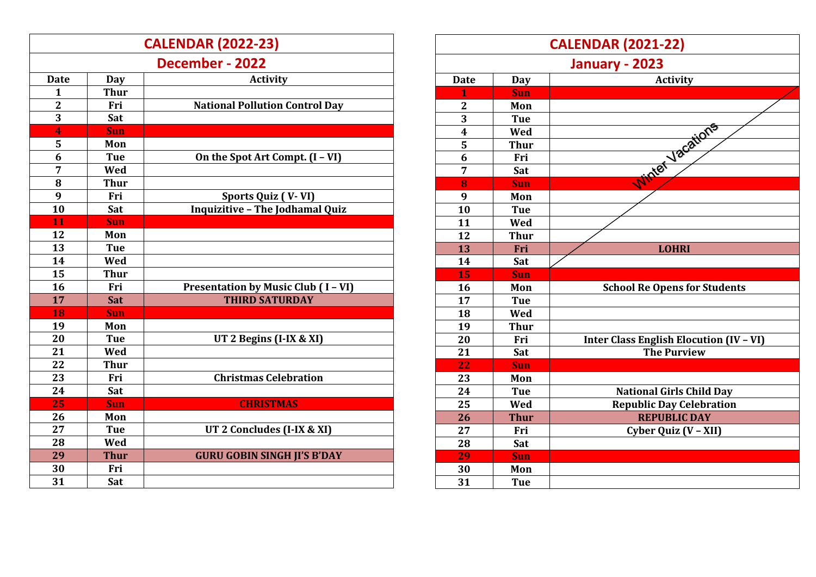| <b>CALENDAR (2022-23)</b> |             |                                          |
|---------------------------|-------------|------------------------------------------|
| December - 2022           |             |                                          |
| <b>Date</b>               | Day         | <b>Activity</b>                          |
| $\mathbf{1}$              | <b>Thur</b> |                                          |
| $\mathbf{2}$              | Fri         | <b>National Pollution Control Day</b>    |
| $\overline{3}$            | Sat         |                                          |
| 4                         | Sun         |                                          |
| 5                         | Mon         |                                          |
| 6                         | <b>Tue</b>  | On the Spot Art Compt. (I - VI)          |
| 7                         | Wed         |                                          |
| 8                         | <b>Thur</b> |                                          |
| 9                         | Fri         | Sports Quiz (V-VI)                       |
| 10                        | Sat         | <b>Inquizitive - The Jodhamal Quiz</b>   |
| 11                        | <b>Sun</b>  |                                          |
| 12                        | Mon         |                                          |
| 13                        | <b>Tue</b>  |                                          |
| 14                        | Wed         |                                          |
| 15                        | <b>Thur</b> |                                          |
| 16                        | Fri         | <b>Presentation by Music Club (I-VI)</b> |
| 17                        | Sat         | <b>THIRD SATURDAY</b>                    |
| 18                        | Sun         |                                          |
| 19                        | Mon         |                                          |
| 20                        | <b>Tue</b>  | UT 2 Begins $(I-IX & XI)$                |
| 21                        | Wed         |                                          |
| 22                        | <b>Thur</b> |                                          |
| 23                        | Fri         | <b>Christmas Celebration</b>             |
| 24                        | Sat         |                                          |
| 25                        | <b>Sun</b>  | <b>CHRISTMAS</b>                         |
| 26                        | Mon         |                                          |
| 27                        | <b>Tue</b>  | UT 2 Concludes (I-IX & XI)               |
| 28                        | Wed         |                                          |
| 29                        | <b>Thur</b> | <b>GURU GOBIN SINGH JI'S B'DAY</b>       |
| 30                        | Fri         |                                          |
| 31                        | Sat         |                                          |

| <b>CALENDAR (2021-22)</b> |             |                                                |
|---------------------------|-------------|------------------------------------------------|
| January - 2023            |             |                                                |
| <b>Date</b>               | <b>Day</b>  | <b>Activity</b>                                |
| $\overline{1}$            | <b>Sun</b>  |                                                |
| $\mathbf{2}$              | Mon         |                                                |
| $\overline{3}$            | <b>Tue</b>  |                                                |
| $\overline{\mathbf{4}}$   | Wed         |                                                |
| 5                         | <b>Thur</b> |                                                |
| 6                         | Fri         |                                                |
| 7                         | Sat         |                                                |
| 8                         | <b>Sun</b>  | White Vacations                                |
| 9                         | Mon         |                                                |
| 10                        | <b>Tue</b>  |                                                |
| 11                        | Wed         |                                                |
| 12                        | <b>Thur</b> |                                                |
| 13                        | Fri         | <b>LOHRI</b>                                   |
| 14                        | Sat         |                                                |
| 15                        | <b>Sun</b>  |                                                |
| 16                        | Mon         | <b>School Re Opens for Students</b>            |
| 17                        | <b>Tue</b>  |                                                |
| 18                        | Wed         |                                                |
| 19                        | <b>Thur</b> |                                                |
| 20                        | Fri         | <b>Inter Class English Elocution (IV - VI)</b> |
| 21                        | Sat         | <b>The Purview</b>                             |
| 22                        | <b>Sun</b>  |                                                |
| 23                        | Mon         |                                                |
| 24                        | <b>Tue</b>  | <b>National Girls Child Day</b>                |
| 25                        | Wed         | <b>Republic Day Celebration</b>                |
| 26                        | <b>Thur</b> | <b>REPUBLIC DAY</b>                            |
| 27                        | Fri         | Cyber Quiz (V - XII)                           |
| 28                        | Sat         |                                                |
| 29                        | <b>Sun</b>  |                                                |
| 30                        | Mon         |                                                |
| 31                        | <b>Tue</b>  |                                                |